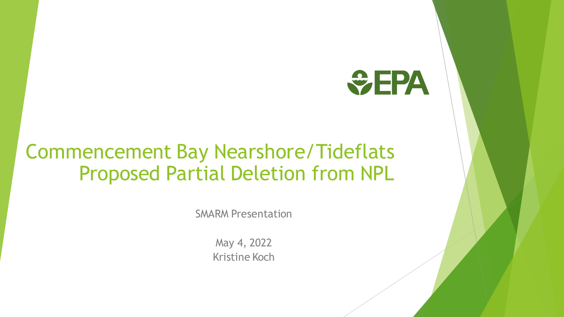

#### Commencement Bay Nearshore/Tideflats Proposed Partial Deletion from NPL

SMARM Presentation

May 4, 2022 Kristine Koch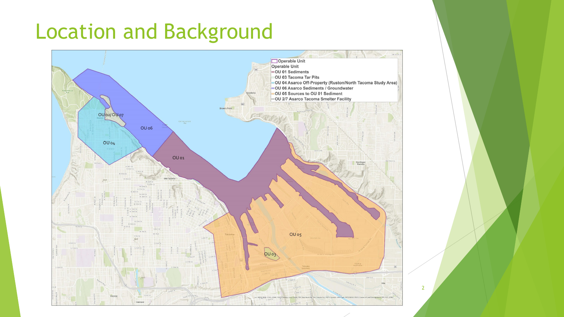## Location and Background

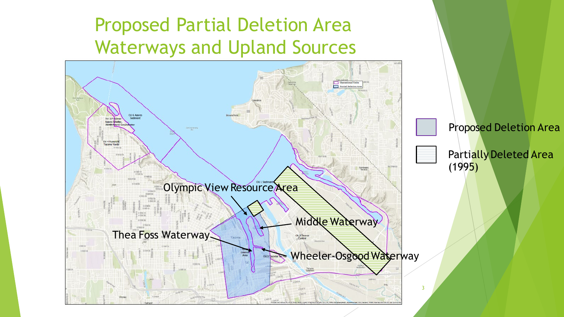#### Proposed Partial Deletion Area Waterways and Upland Sources

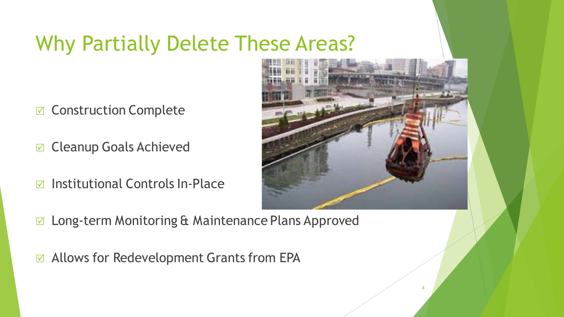### Why Partially Delete These Areas?

- $⊓$  **Construction Complete**
- **☑ Cleanup Goals Achieved**
- $\triangledown$  Institutional Controls In-Place



- Long-term Monitoring & Maintenance Plans Approved
- $\sigma$  Allows for Redevelopment Grants from EPA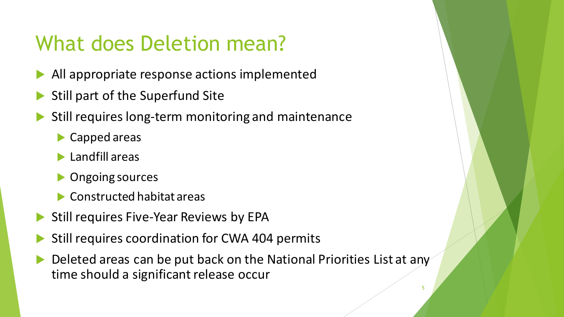## What does Deletion mean?

- All appropriate response actions implemented
- Still part of the Superfund Site
- Still requires long-term monitoring and maintenance
	- **Capped areas**
	- **Landfill areas**
	- **Diangle Sources**
	- **► Constructed habitat areas**
- Still requires Five-Year Reviews by EPA
- Still requires coordination for CWA 404 permits
- Deleted areas can be put back on the National Priorities List at any time should a significant release occur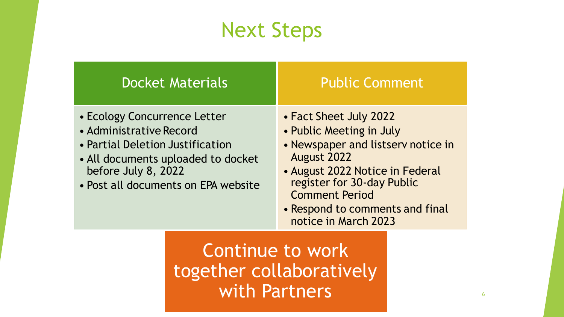#### Next Steps

| <b>Docket Materials</b>                                                                                                                                                                         | <b>Public Comment</b>                                                                                                                                                                                                                                        |
|-------------------------------------------------------------------------------------------------------------------------------------------------------------------------------------------------|--------------------------------------------------------------------------------------------------------------------------------------------------------------------------------------------------------------------------------------------------------------|
| • Ecology Concurrence Letter<br>• Administrative Record<br>• Partial Deletion Justification<br>• All documents uploaded to docket<br>before July 8, 2022<br>• Post all documents on EPA website | • Fact Sheet July 2022<br>• Public Meeting in July<br>• Newspaper and listserv notice in<br>August 2022<br>• August 2022 Notice in Federal<br>register for 30-day Public<br><b>Comment Period</b><br>• Respond to comments and final<br>notice in March 2023 |

Continue to work together collaboratively with Partners